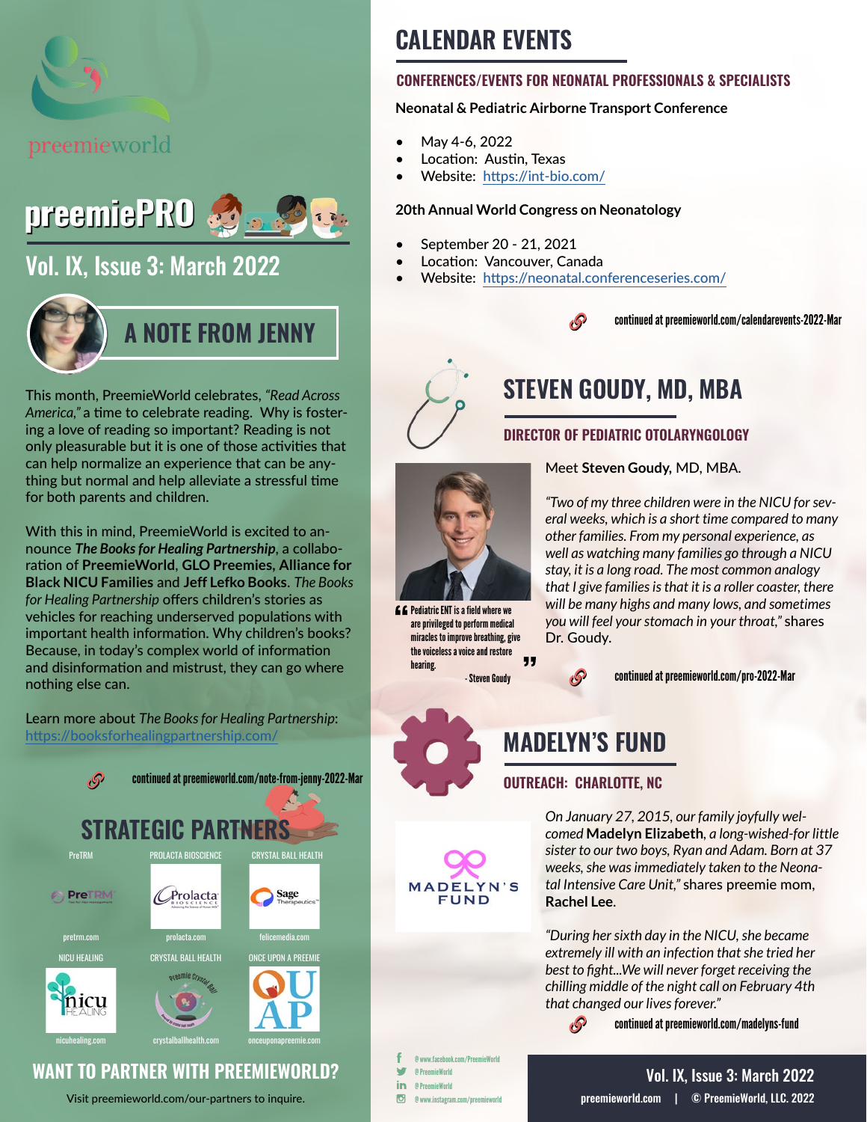



# [Vol. IX, Issue 3: March 2022](https://preemieworld.com/preemie-pro-digital-issues/)



This month, PreemieWorld celebrates, *"Read Across America,"* a time to celebrate reading. Why is fostering a love of reading so important? Reading is not only pleasurable but it is one of those activities that can help normalize an experience that can be anything but normal and help alleviate a stressful time for both parents and children.

With this in mind, PreemieWorld is excited to announce *The Books for Healing Partnership*, a collaboration of **PreemieWorld**, **GLO Preemies, Alliance for Black NICU Families** and **Jeff Lefko Books**. *The Books for Healing Partnership* offers children's stories as vehicles for reaching underserved populations with important health information. Why children's books? Because, in today's complex world of information and disinformation and mistrust, they can go where nothing else can.

Learn more about *The Books for Healing P[a](https://www.onceuponapreemieacademy.com/ )rtnership*: <https://booksforhealingpartnership.com/>





Visit [preemieworld.com/our-partners](https://preemieworld.com/our-partners) to inquire.

# **CALENDAR EVENTS**

#### **CONFERENCES/EVENTS FOR NEONATAL PROFESSIONALS & SPECIALISTS**

#### **Neonatal & Pediatric Airborne Transport Conference**

- May 4-6, 2022
- Location: Austin, Texas
- Website: https://int-bio.com/

#### **20th Annual World Congress on Neonatology**

- September 20 21, 2021
- Location: Vancouver, Canada
- Website: https://neonatal.conferenceseries.com/





# **STEVEN GOUDY, MD, MBA**

#### **DIRECTOR OF PEDIATRIC OTOLARYNGOLOGY**

Meet **Steven Goudy,** MD, MBA.



 $f f$  Pediatric ENT is a field where we are privileged to perform medical miracles to improve breathing, give the voiceless a voice and restore 99 hearing.

*"Two of my three children were in the NICU for several weeks, which is a short time compared to many other families. From my personal experience, as well as watching many families go through a NICU stay, it is a long road. The most common analogy that I give families is that it is a roller coaster, there will be many highs and many lows, and sometimes you will feel your stomach in your throat,"* shares Dr. Goudy.

- Steven Goudy continued at [preemieworld.com/pro-2022-](https://preemieworld.com/pro-2022-Mar)Mar



**MADELYN'S** 

**FUND** 

### **MADELYN'S FUND**

#### **OUTREACH: CHARLOTTE, NC**

₫Ø

*On January 27, 2015, our family joyfully welcomed* **Madelyn Elizabeth***, a long-wished-for little sister to our two boys, Ryan and Adam. Born at 37 weeks, she was immediately taken to the Neonatal Intensive Care Unit,"* shares preemie mom, **Rachel Lee**.

*"During her sixth day in the NICU, she became extremely ill with an infection that she tried her best to fight...We will never forget receiving the chilling middle of the night call on February 4th that changed our lives forever."*

continued at [preemieworld.com/m](https://preemieworld.com/madelyns-fund)adelyns-fund

@ www.facebook.com/PreemieWorld w @ PreemieWorld in @ PreemieWorld  $\overline{G}$ @ www.instagram.com/preemieworld